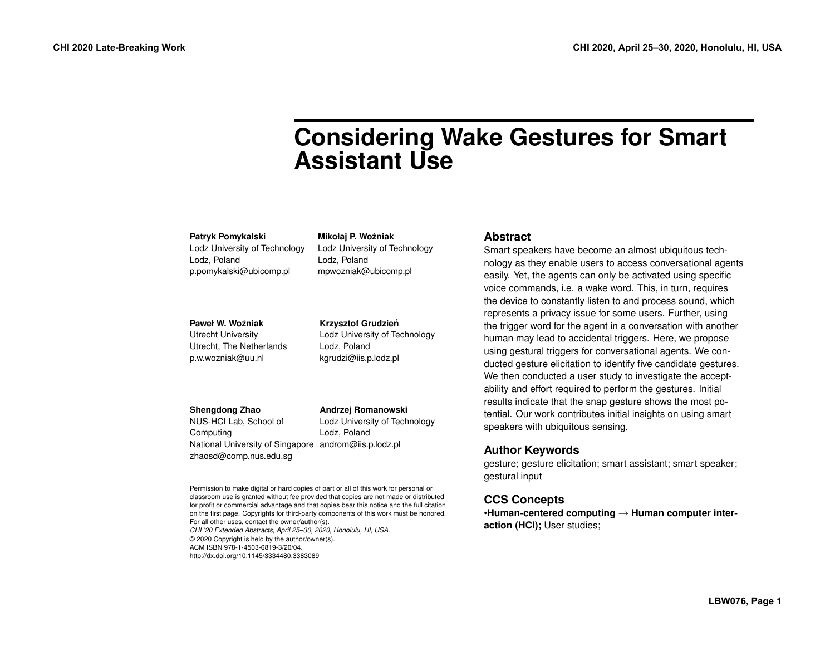# **Considering Wake Gestures for Smart Assistant Use**

#### Patryk Pomykalski Mikołaj P. Woźniak

Lodz, Poland Lodz, Poland [p.pomykalski@ubicomp.pl](mailto:p.pomykalski@ubicomp.pl) [mpwozniak@ubicomp.pl](mailto:mpwozniak@ubicomp.pl) 

Lodz University of Technology Lodz University of Technology

Utrecht, The Netherlands Lodz, Poland [p.w.wozniak@uu.nl](mailto:p.w.wozniak@uu.nl) [kgrudzi@iis.p.lodz.pl](mailto:kgrudzi@iis.p.lodz.pl) 

**Paweł W. Woźniak // Krzysztof Grudzień** Utrecht University Lodz University of Technology

NUS-HCI Lab, School of Lodz University of Technology Computing Lodz, Poland National University of Singapore [androm@iis.p.lodz.pl](mailto:androm@iis.p.lodz.pl)  zhaosd@comp.nus.edu.sg

**Shengdong Zhao Andrzej Romanowski** 

Permission to make digital or hard copies of part or all of this work for personal or classroom use is granted without fee provided that copies are not made or distributed for profit or commercial advantage and that copies bear this notice and the full citation on the first page. Copyrights for third-party components of this work must be honored. For all other uses, contact the owner/author(s).

*CHI '20 Extended Abstracts, April 25–30, 2020, Honolulu, HI, USA.* © 2020 Copyright is held by the author/owner(s). ACM ISBN 978-1-4503-6819-3/20/04. <http://dx.doi.org/10.1145/3334480.3383089>

#### **Abstract**

Smart speakers have become an almost ubiquitous technology as they enable users to access conversational agents easily. Yet, the agents can only be activated using specific voice commands, i.e. a wake word. This, in turn, requires the device to constantly listen to and process sound, which represents a privacy issue for some users. Further, using the trigger word for the agent in a conversation with another human may lead to accidental triggers. Here, we propose using gestural triggers for conversational agents. We conducted gesture elicitation to identify five candidate gestures. We then conducted a user study to investigate the acceptability and effort required to perform the gestures. Initial results indicate that the snap gesture shows the most potential. Our work contributes initial insights on using smart speakers with ubiquitous sensing.

### **Author Keywords**

gesture; gesture elicitation; smart assistant; smart speaker; gestural input

# **CCS Concepts**

•**Human-centered computing** → **Human computer interaction (HCI);** User studies;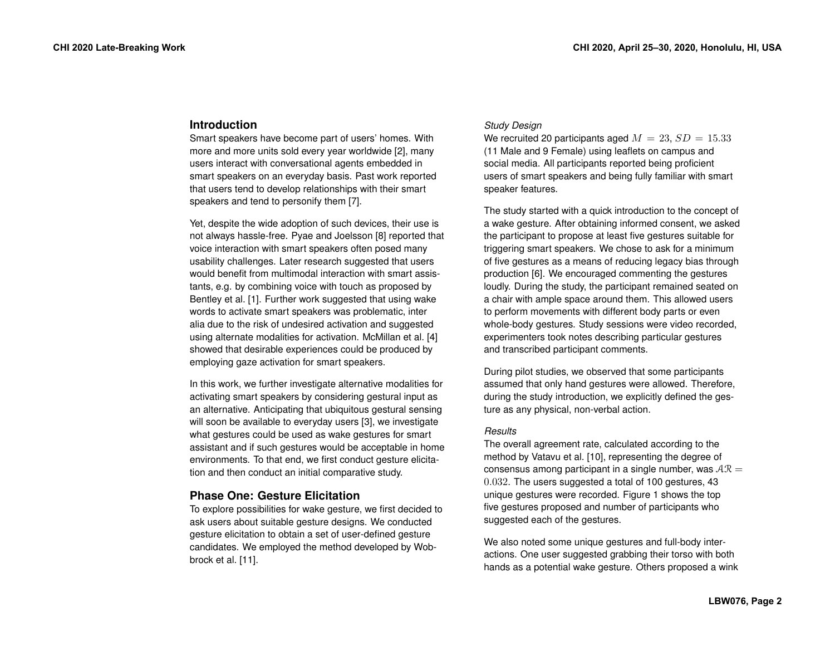## **Introduction**

Smart speakers have become part of users' homes. With more and more units sold every year worldwide [\[2\]](#page-6-0), many users interact with conversational agents embedded in smart speakers on an everyday basis. Past work reported that users tend to develop relationships with their smart speakers and tend to personify them [\[7\]](#page-6-1).

Yet, despite the wide adoption of such devices, their use is not always hassle-free. Pyae and Joelsson [\[8\]](#page-6-2) reported that voice interaction with smart speakers often posed many usability challenges. Later research suggested that users would benefit from multimodal interaction with smart assistants, e.g. by combining voice with touch as proposed by Bentley et al. [\[1\]](#page-6-3). Further work suggested that using wake words to activate smart speakers was problematic, inter alia due to the risk of undesired activation and suggested using alternate modalities for activation. McMillan et al. [\[4\]](#page-6-4) showed that desirable experiences could be produced by employing gaze activation for smart speakers.

In this work, we further investigate alternative modalities for activating smart speakers by considering gestural input as an alternative. Anticipating that ubiquitous gestural sensing will soon be available to everyday users [\[3\]](#page-6-5), we investigate what gestures could be used as wake gestures for smart assistant and if such gestures would be acceptable in home environments. To that end, we first conduct gesture elicitation and then conduct an initial comparative study.

### **Phase One: Gesture Elicitation**

To explore possibilities for wake gesture, we first decided to ask users about suitable gesture designs. We conducted gesture elicitation to obtain a set of user-defined gesture candidates. We employed the method developed by Wobbrock et al. [\[11\]](#page-7-0).

#### *Study Design*

We recruited 20 participants aged  $M = 23$ ,  $SD = 15.33$ (11 Male and 9 Female) using leaflets on campus and social media. All participants reported being proficient users of smart speakers and being fully familiar with smart speaker features.

The study started with a quick introduction to the concept of a wake gesture. After obtaining informed consent, we asked the participant to propose at least five gestures suitable for triggering smart speakers. We chose to ask for a minimum of five gestures as a means of reducing legacy bias through production [\[6\]](#page-6-6). We encouraged commenting the gestures loudly. During the study, the participant remained seated on a chair with ample space around them. This allowed users to perform movements with different body parts or even whole-body gestures. Study sessions were video recorded, experimenters took notes describing particular gestures and transcribed participant comments.

During pilot studies, we observed that some participants assumed that only hand gestures were allowed. Therefore, during the study introduction, we explicitly defined the gesture as any physical, non-verbal action.

#### *Results*

The overall agreement rate, calculated according to the method by Vatavu et al. [\[10\]](#page-7-1), representing the degree of consensus among participant in a single number, was  $AR =$ 0.032. The users suggested a total of 100 gestures, 43 unique gestures were recorded. Figure [1](#page-2-0) shows the top five gestures proposed and number of participants who suggested each of the gestures.

We also noted some unique gestures and full-body interactions. One user suggested grabbing their torso with both hands as a potential wake gesture. Others proposed a wink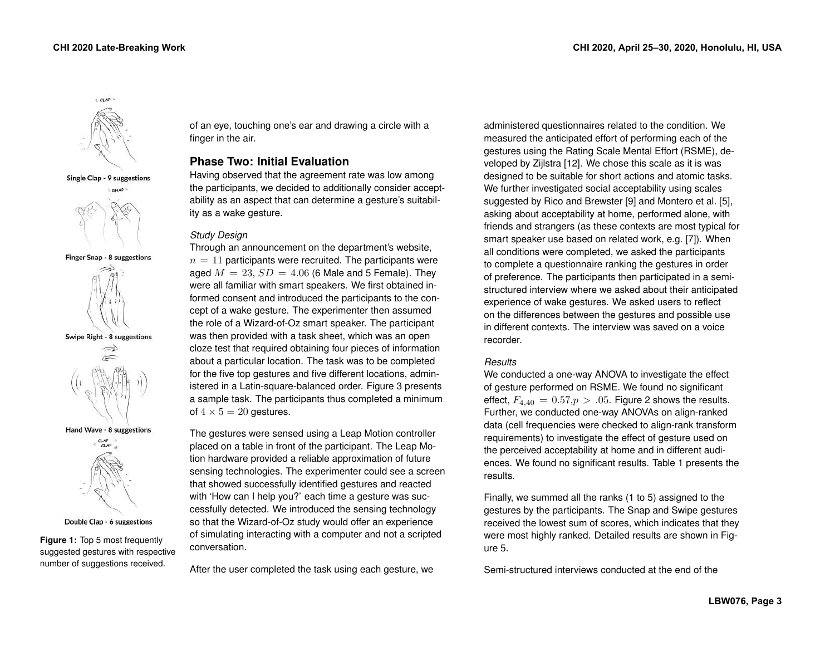

Single Clap - 9 suggestions







Swipe Right - 8 suggestions







Double Clap - 6 suggestions

<span id="page-2-0"></span>**Figure 1:** Top 5 most frequently suggested gestures with respective number of suggestions received.

of an eye, touching one's ear and drawing a circle with a finger in the air.

#### **Phase Two: Initial Evaluation**

Having observed that the agreement rate was low among the participants, we decided to additionally consider acceptability as an aspect that can determine a gesture's suitability as a wake gesture.

### *Study Design*

Through an announcement on the department's website,  $n = 11$  participants were recruited. The participants were aged  $M = 23$ ,  $SD = 4.06$  (6 Male and 5 Female). They were all familiar with smart speakers. We first obtained informed consent and introduced the participants to the concept of a wake gesture. The experimenter then assumed the role of a Wizard-of-Oz smart speaker. The participant was then provided with a task sheet, which was an open cloze test that required obtaining four pieces of information about a particular location. The task was to be completed for the five top gestures and five different locations, administered in a Latin-square-balanced order. Figure [3](#page-3-0) presents a sample task. The participants thus completed a minimum of  $4 \times 5 = 20$  gestures.

The gestures were sensed using a Leap Motion controller placed on a table in front of the participant. The Leap Motion hardware provided a reliable approximation of future sensing technologies. The experimenter could see a screen that showed successfully identified gestures and reacted with 'How can I help you?' each time a gesture was successfully detected. We introduced the sensing technology so that the Wizard-of-Oz study would offer an experience of simulating interacting with a computer and not a scripted conversation.

After the user completed the task using each gesture, we

administered questionnaires related to the condition. We measured the anticipated effort of performing each of the gestures using the Rating Scale Mental Effort (RSME), developed by Zijlstra [\[12\]](#page-7-2). We chose this scale as it is was designed to be suitable for short actions and atomic tasks. We further investigated social acceptability using scales suggested by Rico and Brewster [\[9\]](#page-6-7) and Montero et al. [\[5\]](#page-6-8), asking about acceptability at home, performed alone, with friends and strangers (as these contexts are most typical for smart speaker use based on related work, e.g. [\[7\]](#page-6-1)). When all conditions were completed, we asked the participants to complete a questionnaire ranking the gestures in order of preference. The participants then participated in a semistructured interview where we asked about their anticipated experience of wake gestures. We asked users to reflect on the differences between the gestures and possible use in different contexts. The interview was saved on a voice recorder.

#### *Results*

We conducted a one-way ANOVA to investigate the effect of gesture performed on RSME. We found no significant effect,  $F_{4,40} = 0.57, p > .05$  $F_{4,40} = 0.57, p > .05$  $F_{4,40} = 0.57, p > .05$ . Figure [2](#page-3-1) shows the results. Further, we conducted one-way ANOVAs on align-ranked data (cell frequencies were checked to align-rank transform requirements) to investigate the effect of gesture used on the perceived acceptability at home and in different audiences. We found no significant results. Table [1](#page-3-2) presents the results.

Finally, we summed all the ranks (1 to 5) assigned to the gestures by the participants. The Snap and Swipe gestures received the lowest sum of scores, which indicates that they were most highly ranked. Detailed results are shown in Figure [5.](#page-4-0)

Semi-structured interviews conducted at the end of the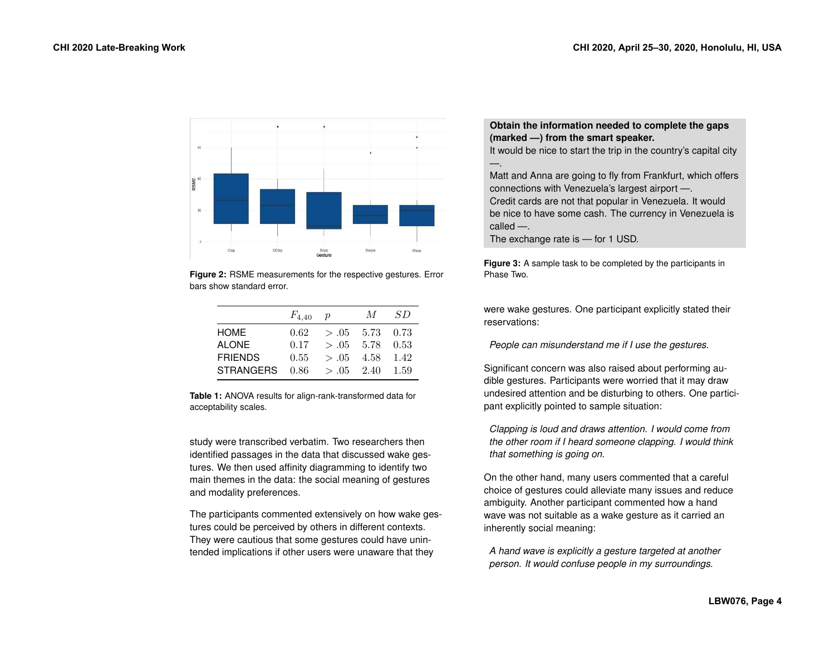<span id="page-3-1"></span>

**Figure 2:** RSME measurements for the respective gestures. Error bars show standard error.

<span id="page-3-2"></span>

|                  | $F_{4,40}$ | p             | M    | SD.  |
|------------------|------------|---------------|------|------|
| <b>HOME</b>      | 0.62       | $> 0.05$ 5.73 |      | 0.73 |
| <b>ALONE</b>     | 0.17       | $> 0.05$ 5.78 |      | 0.53 |
| <b>FRIENDS</b>   | 0.55       | > .05         | 4.58 | 1.42 |
| <b>STRANGERS</b> | 0.86       | $> 0.05$ 2.40 |      | 1.59 |
|                  |            |               |      |      |

**Table 1:** ANOVA results for align-rank-transformed data for acceptability scales.

study were transcribed verbatim. Two researchers then identified passages in the data that discussed wake gestures. We then used affinity diagramming to identify two main themes in the data: the social meaning of gestures and modality preferences.

The participants commented extensively on how wake gestures could be perceived by others in different contexts. They were cautious that some gestures could have unintended implications if other users were unaware that they

#### <span id="page-3-0"></span>**Obtain the information needed to complete the gaps (marked —) from the smart speaker.**

It would be nice to start the trip in the country's capital city —.

Matt and Anna are going to fly from Frankfurt, which offers connections with Venezuela's largest airport —. Credit cards are not that popular in Venezuela. It would be nice to have some cash. The currency in Venezuela is called —.

The exchange rate is — for 1 USD.

**Figure 3:** A sample task to be completed by the participants in Phase Two.

were wake gestures. One participant explicitly stated their reservations:

*People can misunderstand me if I use the gestures.*

Significant concern was also raised about performing audible gestures. Participants were worried that it may draw undesired attention and be disturbing to others. One participant explicitly pointed to sample situation:

*Clapping is loud and draws attention. I would come from the other room if I heard someone clapping. I would think that something is going on.*

On the other hand, many users commented that a careful choice of gestures could alleviate many issues and reduce ambiguity. Another participant commented how a hand wave was not suitable as a wake gesture as it carried an inherently social meaning:

*A hand wave is explicitly a gesture targeted at another person. It would confuse people in my surroundings.*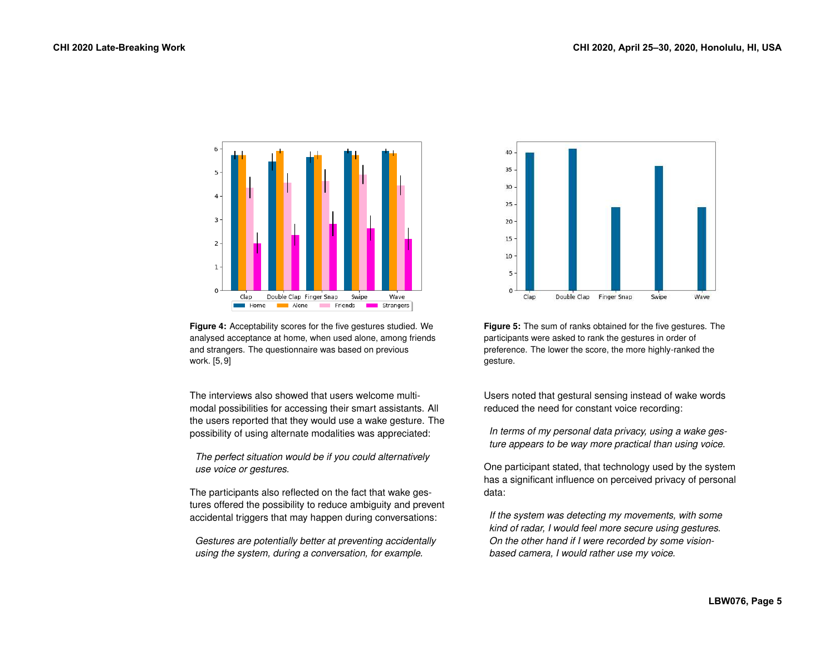

**Figure 4:** Acceptability scores for the five gestures studied. We analysed acceptance at home, when used alone, among friends and strangers. The questionnaire was based on previous work. [\[5,](#page-6-8)[9\]](#page-6-7)

The interviews also showed that users welcome multimodal possibilities for accessing their smart assistants. All the users reported that they would use a wake gesture. The possibility of using alternate modalities was appreciated:

*The perfect situation would be if you could alternatively use voice or gestures.*

The participants also reflected on the fact that wake gestures offered the possibility to reduce ambiguity and prevent accidental triggers that may happen during conversations:

*Gestures are potentially better at preventing accidentally using the system, during a conversation, for example.*

<span id="page-4-0"></span>

**Figure 5:** The sum of ranks obtained for the five gestures. The participants were asked to rank the gestures in order of preference. The lower the score, the more highly-ranked the gesture.

Users noted that gestural sensing instead of wake words reduced the need for constant voice recording:

*In terms of my personal data privacy, using a wake gesture appears to be way more practical than using voice.*

One participant stated, that technology used by the system has a significant influence on perceived privacy of personal data:

*If the system was detecting my movements, with some kind of radar, I would feel more secure using gestures. On the other hand if I were recorded by some visionbased camera, I would rather use my voice.*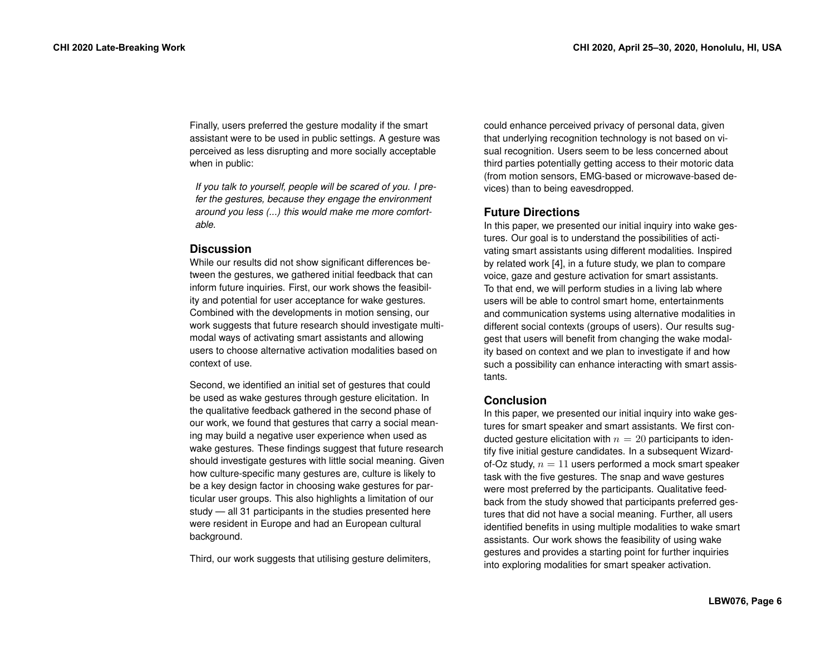Finally, users preferred the gesture modality if the smart assistant were to be used in public settings. A gesture was perceived as less disrupting and more socially acceptable when in public:

*If you talk to yourself, people will be scared of you. I prefer the gestures, because they engage the environment around you less (...) this would make me more comfortable.*

#### **Discussion**

While our results did not show significant differences between the gestures, we gathered initial feedback that can inform future inquiries. First, our work shows the feasibility and potential for user acceptance for wake gestures. Combined with the developments in motion sensing, our work suggests that future research should investigate multimodal ways of activating smart assistants and allowing users to choose alternative activation modalities based on context of use.

Second, we identified an initial set of gestures that could be used as wake gestures through gesture elicitation. In the qualitative feedback gathered in the second phase of our work, we found that gestures that carry a social meaning may build a negative user experience when used as wake gestures. These findings suggest that future research should investigate gestures with little social meaning. Given how culture-specific many gestures are, culture is likely to be a key design factor in choosing wake gestures for particular user groups. This also highlights a limitation of our study — all 31 participants in the studies presented here were resident in Europe and had an European cultural background.

Third, our work suggests that utilising gesture delimiters,

could enhance perceived privacy of personal data, given that underlying recognition technology is not based on visual recognition. Users seem to be less concerned about third parties potentially getting access to their motoric data (from motion sensors, EMG-based or microwave-based devices) than to being eavesdropped.

# **Future Directions**

In this paper, we presented our initial inquiry into wake gestures. Our goal is to understand the possibilities of activating smart assistants using different modalities. Inspired by related work [\[4\]](#page-6-4), in a future study, we plan to compare voice, gaze and gesture activation for smart assistants. To that end, we will perform studies in a living lab where users will be able to control smart home, entertainments and communication systems using alternative modalities in different social contexts (groups of users). Our results suggest that users will benefit from changing the wake modality based on context and we plan to investigate if and how such a possibility can enhance interacting with smart assistants.

# **Conclusion**

In this paper, we presented our initial inquiry into wake gestures for smart speaker and smart assistants. We first conducted gesture elicitation with  $n = 20$  participants to identify five initial gesture candidates. In a subsequent Wizardof-Oz study,  $n = 11$  users performed a mock smart speaker task with the five gestures. The snap and wave gestures were most preferred by the participants. Qualitative feedback from the study showed that participants preferred gestures that did not have a social meaning. Further, all users identified benefits in using multiple modalities to wake smart assistants. Our work shows the feasibility of using wake gestures and provides a starting point for further inquiries into exploring modalities for smart speaker activation.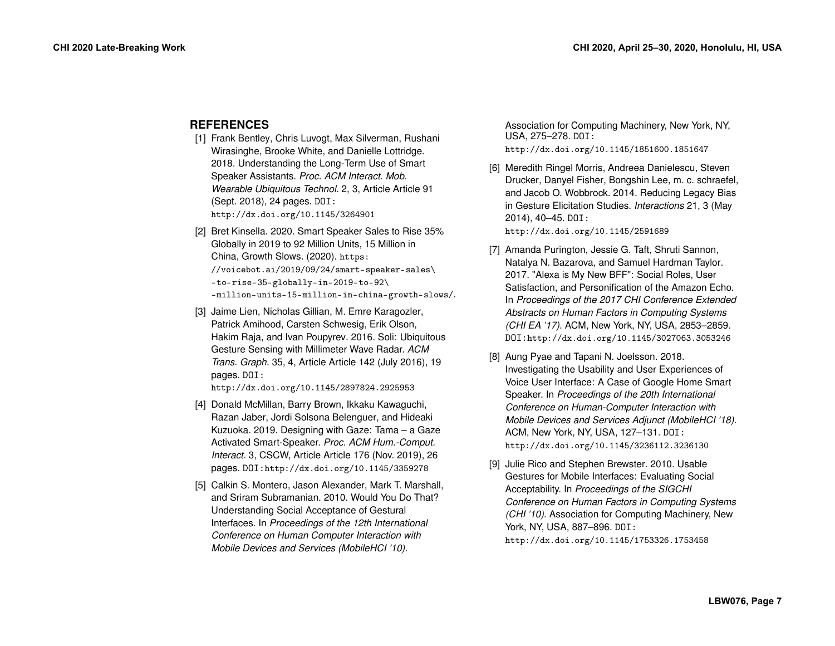# **REFERENCES**

- <span id="page-6-3"></span>[1] Frank Bentley, Chris Luvogt, Max Silverman, Rushani Wirasinghe, Brooke White, and Danielle Lottridge. 2018. Understanding the Long-Term Use of Smart Speaker Assistants. *Proc. ACM Interact. Mob. Wearable Ubiquitous Technol.* 2, 3, Article Article 91 (Sept. 2018), 24 pages. DOI: <http://dx.doi.org/10.1145/3264901>
- <span id="page-6-0"></span>[2] Bret Kinsella. 2020. Smart Speaker Sales to Rise 35% Globally in 2019 to 92 Million Units, 15 Million in China, Growth Slows. (2020). [https:](https://voicebot.ai/2019/09/24/smart-speaker-sales\-to-rise-35-globally-in-2019-to-92\-million-units-15-million-in-china-growth-slows/) [//voicebot.ai/2019/09/24/smart-speaker-sales\](https://voicebot.ai/2019/09/24/smart-speaker-sales\-to-rise-35-globally-in-2019-to-92\-million-units-15-million-in-china-growth-slows/)  $-to-rise-35-globally-in-2019-to-92\$ [-million-units-15-million-in-china-growth-slows/](https://voicebot.ai/2019/09/24/smart-speaker-sales\-to-rise-35-globally-in-2019-to-92\-million-units-15-million-in-china-growth-slows/).
- <span id="page-6-5"></span>[3] Jaime Lien, Nicholas Gillian, M. Emre Karagozler, Patrick Amihood, Carsten Schwesig, Erik Olson, Hakim Raja, and Ivan Poupyrev. 2016. Soli: Ubiquitous Gesture Sensing with Millimeter Wave Radar. *ACM Trans. Graph.* 35, 4, Article Article 142 (July 2016), 19 pages. DOI:

<http://dx.doi.org/10.1145/2897824.2925953>

- <span id="page-6-4"></span>[4] Donald McMillan, Barry Brown, Ikkaku Kawaguchi, Razan Jaber, Jordi Solsona Belenguer, and Hideaki Kuzuoka. 2019. Designing with Gaze: Tama – a Gaze Activated Smart-Speaker. *Proc. ACM Hum.-Comput. Interact.* 3, CSCW, Article Article 176 (Nov. 2019), 26 pages. DOI:<http://dx.doi.org/10.1145/3359278>
- <span id="page-6-8"></span>[5] Calkin S. Montero, Jason Alexander, Mark T. Marshall, and Sriram Subramanian. 2010. Would You Do That? Understanding Social Acceptance of Gestural Interfaces. In *Proceedings of the 12th International Conference on Human Computer Interaction with Mobile Devices and Services (MobileHCI '10)*.

Association for Computing Machinery, New York, NY, USA, 275–278. DOI:

<http://dx.doi.org/10.1145/1851600.1851647>

<span id="page-6-6"></span>[6] Meredith Ringel Morris, Andreea Danielescu, Steven Drucker, Danyel Fisher, Bongshin Lee, m. c. schraefel, and Jacob O. Wobbrock. 2014. Reducing Legacy Bias in Gesture Elicitation Studies. *Interactions* 21, 3 (May 2014), 40–45. DOI:

<http://dx.doi.org/10.1145/2591689>

- <span id="page-6-1"></span>[7] Amanda Purington, Jessie G. Taft, Shruti Sannon, Natalya N. Bazarova, and Samuel Hardman Taylor. 2017. "Alexa is My New BFF": Social Roles, User Satisfaction, and Personification of the Amazon Echo. In *Proceedings of the 2017 CHI Conference Extended Abstracts on Human Factors in Computing Systems (CHI EA '17)*. ACM, New York, NY, USA, 2853–2859. DOI:<http://dx.doi.org/10.1145/3027063.3053246>
- <span id="page-6-2"></span>[8] Aung Pyae and Tapani N. Joelsson. 2018. Investigating the Usability and User Experiences of Voice User Interface: A Case of Google Home Smart Speaker. In *Proceedings of the 20th International Conference on Human-Computer Interaction with Mobile Devices and Services Adjunct (MobileHCI '18)*. ACM, New York, NY, USA, 127–131. DOI: <http://dx.doi.org/10.1145/3236112.3236130>
- <span id="page-6-7"></span>[9] Julie Rico and Stephen Brewster. 2010. Usable Gestures for Mobile Interfaces: Evaluating Social Acceptability. In *Proceedings of the SIGCHI Conference on Human Factors in Computing Systems (CHI '10)*. Association for Computing Machinery, New York, NY, USA, 887–896. DOI: <http://dx.doi.org/10.1145/1753326.1753458>